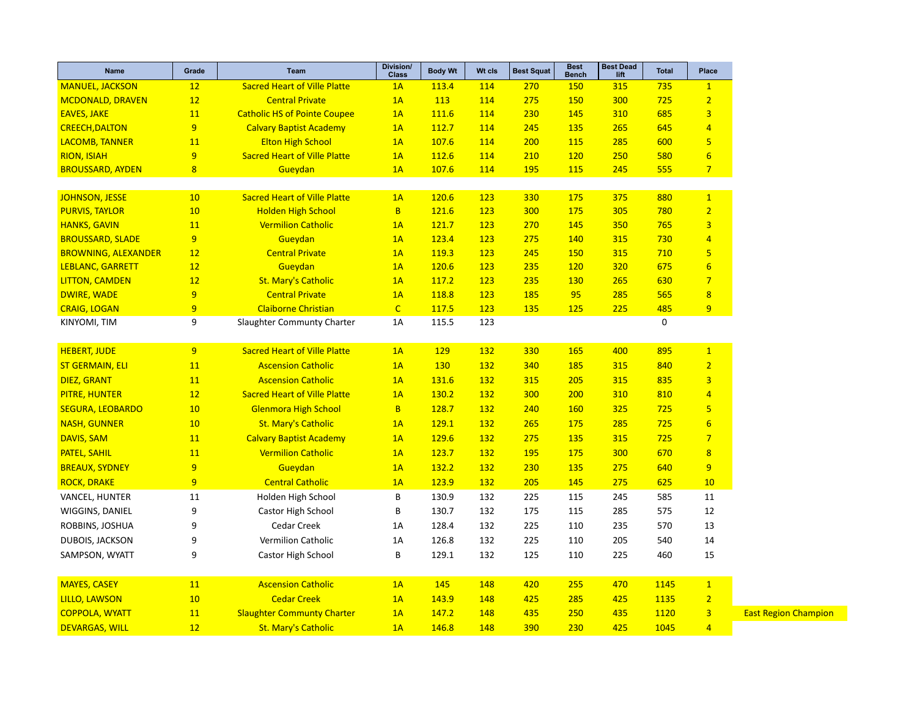| 12<br><b>Sacred Heart of Ville Platte</b><br>113.4<br>114<br>270<br>315<br>735<br>$\mathbf{1}$<br>1A<br><b>150</b><br>12<br>275<br>725<br>$\overline{2}$<br>1A<br>113<br>114<br>150<br>300<br><b>Central Private</b><br>$\overline{3}$<br>11<br><b>Catholic HS of Pointe Coupee</b><br>230<br>145<br>310<br>685<br>1A<br>111.6<br>114<br>$\overline{9}$<br>112.7<br>114<br>245<br>135<br>265<br>645<br>$\overline{4}$<br><b>Calvary Baptist Academy</b><br>1A<br>11<br><b>Elton High School</b><br>107.6<br>114<br>200<br>115<br>285<br>600<br>5<br>1A<br>9<br>$6 \overline{}$<br><b>Sacred Heart of Ville Platte</b><br>1A<br>112.6<br>114<br>210<br><b>120</b><br>250<br>580<br>$\overline{\mathbf{8}}$<br>195<br>115<br>245<br>555<br>$\overline{7}$<br>Gueydan<br>1A<br>107.6<br>114<br><b>Sacred Heart of Ville Platte</b><br>120.6<br>10<br>1A<br>123<br>330<br>175<br>375<br>880<br>$\mathbf{1}$<br>$\overline{2}$<br>10<br><b>Holden High School</b><br>B<br>121.6<br>123<br>300<br>780<br>175<br>305<br>123<br>270<br>765<br>11<br><b>Vermilion Catholic</b><br>121.7<br>145<br>350<br>$\overline{3}$<br>1A<br>9 <sup>°</sup><br>Gueydan<br>123.4<br>123<br>275<br>140<br>315<br>730<br>$\overline{4}$<br>1A<br>123<br>710<br>$\overline{\mathbf{5}}$<br>12<br><b>Central Private</b><br>119.3<br>245<br>150<br>315<br>1A<br>235<br>$6\overline{6}$<br>12<br>Gueydan<br>1A<br>120.6<br>123<br><b>120</b><br>320<br>675<br>$\overline{7}$<br>12<br><b>St. Mary's Catholic</b><br>123<br>235<br>1A<br>117.2<br><b>130</b><br>265<br>630<br>9<br><b>Central Private</b><br>118.8<br>123<br>185<br>95<br>285<br>565<br>$\overline{8}$<br>1A<br>$\overline{9}$<br>$\overline{C}$<br>225<br>485<br>9<br><b>Claiborne Christian</b><br>117.5<br>123<br>135<br>125<br>9<br>115.5<br>$\mathbf 0$<br>Slaughter Communty Charter<br>1A<br>123<br>9 <sup>°</sup><br><b>Sacred Heart of Ville Platte</b><br>132<br>1A<br>129<br>330<br>165<br>400<br>895<br>$\mathbf{1}$<br>130<br>132<br>340<br>840<br>$\overline{2}$<br>11<br><b>Ascension Catholic</b><br>1A<br>185<br>315<br>131.6<br><b>132</b><br>315<br>205<br>315<br>835<br>3<br><b>11</b><br><b>Ascension Catholic</b><br>1A<br>12<br><b>Sacred Heart of Ville Platte</b><br>130.2<br>132<br>300<br>200<br>310<br>810<br>$\overline{4}$<br>1A<br>10<br><b>Glenmora High School</b><br>B<br>128.7<br>132<br>240<br>160<br>325<br>725<br>5 <sub>5</sub><br>$6\overline{6}$<br>132<br>10<br><b>St. Mary's Catholic</b><br>1A<br>129.1<br>265<br>175<br>285<br>725<br>129.6<br>132<br>275<br>135<br>315<br>725<br>$\overline{7}$<br>11<br><b>Calvary Baptist Academy</b><br>1A<br>11<br><b>Vermilion Catholic</b><br>123.7<br>132<br>195<br>175<br>300<br>670<br>8<br>1A<br>$\overline{9}$<br>132.2<br>132<br>230<br>9<br>Gueydan<br>1A<br>135<br>275<br>640<br>$\overline{9}$<br><b>Central Catholic</b><br>123.9<br>132<br>205<br>145<br>275<br>1A<br>625<br>10<br>Holden High School<br>B<br>130.9<br>132<br>225<br>115<br>245<br>585<br>11<br>11<br>9<br>130.7<br>132<br>12<br>Castor High School<br>B<br>175<br>115<br>285<br>575<br>9<br>Cedar Creek<br>132<br>225<br>570<br>13<br>1A<br>128.4<br>110<br>235<br>9<br>Vermilion Catholic<br>126.8<br>132<br>225<br>205<br>540<br>14<br>1A<br>110<br>9<br>B<br>132<br>125<br>15<br>SAMPSON, WYATT<br>Castor High School<br>129.1<br>110<br>225<br>460<br><b>Ascension Catholic</b><br>145<br>$\mathbf{1}$<br>11<br>1A<br>148<br>420<br>255<br>470<br>1145<br>10<br><b>Cedar Creek</b><br>$\overline{2}$<br>143.9<br>148<br>425<br>285<br>1135<br>1A<br>425<br><b>Slaughter Communty Charter</b><br>1120<br>$\overline{\mathbf{3}}$<br>11<br>1A<br>147.2<br>148<br>435<br>250<br>435<br>12<br><b>St. Mary's Catholic</b><br>146.8<br>148<br>390<br>230<br>425<br>1045<br>$\overline{4}$<br>1A | <b>Name</b>                | Grade | <b>Team</b> | Division/<br><b>Class</b> | <b>Body Wt</b> | Wt cls | <b>Best Squat</b> | <b>Best</b><br><b>Bench</b> | <b>Best Dead</b><br>lift | <b>Total</b> | Place |
|---------------------------------------------------------------------------------------------------------------------------------------------------------------------------------------------------------------------------------------------------------------------------------------------------------------------------------------------------------------------------------------------------------------------------------------------------------------------------------------------------------------------------------------------------------------------------------------------------------------------------------------------------------------------------------------------------------------------------------------------------------------------------------------------------------------------------------------------------------------------------------------------------------------------------------------------------------------------------------------------------------------------------------------------------------------------------------------------------------------------------------------------------------------------------------------------------------------------------------------------------------------------------------------------------------------------------------------------------------------------------------------------------------------------------------------------------------------------------------------------------------------------------------------------------------------------------------------------------------------------------------------------------------------------------------------------------------------------------------------------------------------------------------------------------------------------------------------------------------------------------------------------------------------------------------------------------------------------------------------------------------------------------------------------------------------------------------------------------------------------------------------------------------------------------------------------------------------------------------------------------------------------------------------------------------------------------------------------------------------------------------------------------------------------------------------------------------------------------------------------------------------------------------------------------------------------------------------------------------------------------------------------------------------------------------------------------------------------------------------------------------------------------------------------------------------------------------------------------------------------------------------------------------------------------------------------------------------------------------------------------------------------------------------------------------------------------------------------------------------------------------------------------------------------------------------------------------------------------------------------------------------------------------------------------------------------------------------------------------------------------------------------------------------------------------------------------------------------------------------------------------------------------------------------------------------------------------------------------------------------------------------------------------------------------------------------------------------------------------------------------------------------------------------------------|----------------------------|-------|-------------|---------------------------|----------------|--------|-------------------|-----------------------------|--------------------------|--------------|-------|
|                                                                                                                                                                                                                                                                                                                                                                                                                                                                                                                                                                                                                                                                                                                                                                                                                                                                                                                                                                                                                                                                                                                                                                                                                                                                                                                                                                                                                                                                                                                                                                                                                                                                                                                                                                                                                                                                                                                                                                                                                                                                                                                                                                                                                                                                                                                                                                                                                                                                                                                                                                                                                                                                                                                                                                                                                                                                                                                                                                                                                                                                                                                                                                                                                                                                                                                                                                                                                                                                                                                                                                                                                                                                                                                                                                                                   | <b>MANUEL, JACKSON</b>     |       |             |                           |                |        |                   |                             |                          |              |       |
|                                                                                                                                                                                                                                                                                                                                                                                                                                                                                                                                                                                                                                                                                                                                                                                                                                                                                                                                                                                                                                                                                                                                                                                                                                                                                                                                                                                                                                                                                                                                                                                                                                                                                                                                                                                                                                                                                                                                                                                                                                                                                                                                                                                                                                                                                                                                                                                                                                                                                                                                                                                                                                                                                                                                                                                                                                                                                                                                                                                                                                                                                                                                                                                                                                                                                                                                                                                                                                                                                                                                                                                                                                                                                                                                                                                                   | <b>MCDONALD, DRAVEN</b>    |       |             |                           |                |        |                   |                             |                          |              |       |
|                                                                                                                                                                                                                                                                                                                                                                                                                                                                                                                                                                                                                                                                                                                                                                                                                                                                                                                                                                                                                                                                                                                                                                                                                                                                                                                                                                                                                                                                                                                                                                                                                                                                                                                                                                                                                                                                                                                                                                                                                                                                                                                                                                                                                                                                                                                                                                                                                                                                                                                                                                                                                                                                                                                                                                                                                                                                                                                                                                                                                                                                                                                                                                                                                                                                                                                                                                                                                                                                                                                                                                                                                                                                                                                                                                                                   | <b>EAVES, JAKE</b>         |       |             |                           |                |        |                   |                             |                          |              |       |
|                                                                                                                                                                                                                                                                                                                                                                                                                                                                                                                                                                                                                                                                                                                                                                                                                                                                                                                                                                                                                                                                                                                                                                                                                                                                                                                                                                                                                                                                                                                                                                                                                                                                                                                                                                                                                                                                                                                                                                                                                                                                                                                                                                                                                                                                                                                                                                                                                                                                                                                                                                                                                                                                                                                                                                                                                                                                                                                                                                                                                                                                                                                                                                                                                                                                                                                                                                                                                                                                                                                                                                                                                                                                                                                                                                                                   | <b>CREECH, DALTON</b>      |       |             |                           |                |        |                   |                             |                          |              |       |
|                                                                                                                                                                                                                                                                                                                                                                                                                                                                                                                                                                                                                                                                                                                                                                                                                                                                                                                                                                                                                                                                                                                                                                                                                                                                                                                                                                                                                                                                                                                                                                                                                                                                                                                                                                                                                                                                                                                                                                                                                                                                                                                                                                                                                                                                                                                                                                                                                                                                                                                                                                                                                                                                                                                                                                                                                                                                                                                                                                                                                                                                                                                                                                                                                                                                                                                                                                                                                                                                                                                                                                                                                                                                                                                                                                                                   | <b>LACOMB, TANNER</b>      |       |             |                           |                |        |                   |                             |                          |              |       |
|                                                                                                                                                                                                                                                                                                                                                                                                                                                                                                                                                                                                                                                                                                                                                                                                                                                                                                                                                                                                                                                                                                                                                                                                                                                                                                                                                                                                                                                                                                                                                                                                                                                                                                                                                                                                                                                                                                                                                                                                                                                                                                                                                                                                                                                                                                                                                                                                                                                                                                                                                                                                                                                                                                                                                                                                                                                                                                                                                                                                                                                                                                                                                                                                                                                                                                                                                                                                                                                                                                                                                                                                                                                                                                                                                                                                   | <b>RION, ISIAH</b>         |       |             |                           |                |        |                   |                             |                          |              |       |
|                                                                                                                                                                                                                                                                                                                                                                                                                                                                                                                                                                                                                                                                                                                                                                                                                                                                                                                                                                                                                                                                                                                                                                                                                                                                                                                                                                                                                                                                                                                                                                                                                                                                                                                                                                                                                                                                                                                                                                                                                                                                                                                                                                                                                                                                                                                                                                                                                                                                                                                                                                                                                                                                                                                                                                                                                                                                                                                                                                                                                                                                                                                                                                                                                                                                                                                                                                                                                                                                                                                                                                                                                                                                                                                                                                                                   | <b>BROUSSARD, AYDEN</b>    |       |             |                           |                |        |                   |                             |                          |              |       |
|                                                                                                                                                                                                                                                                                                                                                                                                                                                                                                                                                                                                                                                                                                                                                                                                                                                                                                                                                                                                                                                                                                                                                                                                                                                                                                                                                                                                                                                                                                                                                                                                                                                                                                                                                                                                                                                                                                                                                                                                                                                                                                                                                                                                                                                                                                                                                                                                                                                                                                                                                                                                                                                                                                                                                                                                                                                                                                                                                                                                                                                                                                                                                                                                                                                                                                                                                                                                                                                                                                                                                                                                                                                                                                                                                                                                   | JOHNSON, JESSE             |       |             |                           |                |        |                   |                             |                          |              |       |
|                                                                                                                                                                                                                                                                                                                                                                                                                                                                                                                                                                                                                                                                                                                                                                                                                                                                                                                                                                                                                                                                                                                                                                                                                                                                                                                                                                                                                                                                                                                                                                                                                                                                                                                                                                                                                                                                                                                                                                                                                                                                                                                                                                                                                                                                                                                                                                                                                                                                                                                                                                                                                                                                                                                                                                                                                                                                                                                                                                                                                                                                                                                                                                                                                                                                                                                                                                                                                                                                                                                                                                                                                                                                                                                                                                                                   | <b>PURVIS, TAYLOR</b>      |       |             |                           |                |        |                   |                             |                          |              |       |
|                                                                                                                                                                                                                                                                                                                                                                                                                                                                                                                                                                                                                                                                                                                                                                                                                                                                                                                                                                                                                                                                                                                                                                                                                                                                                                                                                                                                                                                                                                                                                                                                                                                                                                                                                                                                                                                                                                                                                                                                                                                                                                                                                                                                                                                                                                                                                                                                                                                                                                                                                                                                                                                                                                                                                                                                                                                                                                                                                                                                                                                                                                                                                                                                                                                                                                                                                                                                                                                                                                                                                                                                                                                                                                                                                                                                   | <b>HANKS, GAVIN</b>        |       |             |                           |                |        |                   |                             |                          |              |       |
|                                                                                                                                                                                                                                                                                                                                                                                                                                                                                                                                                                                                                                                                                                                                                                                                                                                                                                                                                                                                                                                                                                                                                                                                                                                                                                                                                                                                                                                                                                                                                                                                                                                                                                                                                                                                                                                                                                                                                                                                                                                                                                                                                                                                                                                                                                                                                                                                                                                                                                                                                                                                                                                                                                                                                                                                                                                                                                                                                                                                                                                                                                                                                                                                                                                                                                                                                                                                                                                                                                                                                                                                                                                                                                                                                                                                   | <b>BROUSSARD, SLADE</b>    |       |             |                           |                |        |                   |                             |                          |              |       |
|                                                                                                                                                                                                                                                                                                                                                                                                                                                                                                                                                                                                                                                                                                                                                                                                                                                                                                                                                                                                                                                                                                                                                                                                                                                                                                                                                                                                                                                                                                                                                                                                                                                                                                                                                                                                                                                                                                                                                                                                                                                                                                                                                                                                                                                                                                                                                                                                                                                                                                                                                                                                                                                                                                                                                                                                                                                                                                                                                                                                                                                                                                                                                                                                                                                                                                                                                                                                                                                                                                                                                                                                                                                                                                                                                                                                   | <b>BROWNING, ALEXANDER</b> |       |             |                           |                |        |                   |                             |                          |              |       |
|                                                                                                                                                                                                                                                                                                                                                                                                                                                                                                                                                                                                                                                                                                                                                                                                                                                                                                                                                                                                                                                                                                                                                                                                                                                                                                                                                                                                                                                                                                                                                                                                                                                                                                                                                                                                                                                                                                                                                                                                                                                                                                                                                                                                                                                                                                                                                                                                                                                                                                                                                                                                                                                                                                                                                                                                                                                                                                                                                                                                                                                                                                                                                                                                                                                                                                                                                                                                                                                                                                                                                                                                                                                                                                                                                                                                   | <b>LEBLANC, GARRETT</b>    |       |             |                           |                |        |                   |                             |                          |              |       |
|                                                                                                                                                                                                                                                                                                                                                                                                                                                                                                                                                                                                                                                                                                                                                                                                                                                                                                                                                                                                                                                                                                                                                                                                                                                                                                                                                                                                                                                                                                                                                                                                                                                                                                                                                                                                                                                                                                                                                                                                                                                                                                                                                                                                                                                                                                                                                                                                                                                                                                                                                                                                                                                                                                                                                                                                                                                                                                                                                                                                                                                                                                                                                                                                                                                                                                                                                                                                                                                                                                                                                                                                                                                                                                                                                                                                   | <b>LITTON, CAMDEN</b>      |       |             |                           |                |        |                   |                             |                          |              |       |
|                                                                                                                                                                                                                                                                                                                                                                                                                                                                                                                                                                                                                                                                                                                                                                                                                                                                                                                                                                                                                                                                                                                                                                                                                                                                                                                                                                                                                                                                                                                                                                                                                                                                                                                                                                                                                                                                                                                                                                                                                                                                                                                                                                                                                                                                                                                                                                                                                                                                                                                                                                                                                                                                                                                                                                                                                                                                                                                                                                                                                                                                                                                                                                                                                                                                                                                                                                                                                                                                                                                                                                                                                                                                                                                                                                                                   | <b>DWIRE, WADE</b>         |       |             |                           |                |        |                   |                             |                          |              |       |
|                                                                                                                                                                                                                                                                                                                                                                                                                                                                                                                                                                                                                                                                                                                                                                                                                                                                                                                                                                                                                                                                                                                                                                                                                                                                                                                                                                                                                                                                                                                                                                                                                                                                                                                                                                                                                                                                                                                                                                                                                                                                                                                                                                                                                                                                                                                                                                                                                                                                                                                                                                                                                                                                                                                                                                                                                                                                                                                                                                                                                                                                                                                                                                                                                                                                                                                                                                                                                                                                                                                                                                                                                                                                                                                                                                                                   | <b>CRAIG, LOGAN</b>        |       |             |                           |                |        |                   |                             |                          |              |       |
|                                                                                                                                                                                                                                                                                                                                                                                                                                                                                                                                                                                                                                                                                                                                                                                                                                                                                                                                                                                                                                                                                                                                                                                                                                                                                                                                                                                                                                                                                                                                                                                                                                                                                                                                                                                                                                                                                                                                                                                                                                                                                                                                                                                                                                                                                                                                                                                                                                                                                                                                                                                                                                                                                                                                                                                                                                                                                                                                                                                                                                                                                                                                                                                                                                                                                                                                                                                                                                                                                                                                                                                                                                                                                                                                                                                                   | KINYOMI, TIM               |       |             |                           |                |        |                   |                             |                          |              |       |
|                                                                                                                                                                                                                                                                                                                                                                                                                                                                                                                                                                                                                                                                                                                                                                                                                                                                                                                                                                                                                                                                                                                                                                                                                                                                                                                                                                                                                                                                                                                                                                                                                                                                                                                                                                                                                                                                                                                                                                                                                                                                                                                                                                                                                                                                                                                                                                                                                                                                                                                                                                                                                                                                                                                                                                                                                                                                                                                                                                                                                                                                                                                                                                                                                                                                                                                                                                                                                                                                                                                                                                                                                                                                                                                                                                                                   | <b>HEBERT, JUDE</b>        |       |             |                           |                |        |                   |                             |                          |              |       |
|                                                                                                                                                                                                                                                                                                                                                                                                                                                                                                                                                                                                                                                                                                                                                                                                                                                                                                                                                                                                                                                                                                                                                                                                                                                                                                                                                                                                                                                                                                                                                                                                                                                                                                                                                                                                                                                                                                                                                                                                                                                                                                                                                                                                                                                                                                                                                                                                                                                                                                                                                                                                                                                                                                                                                                                                                                                                                                                                                                                                                                                                                                                                                                                                                                                                                                                                                                                                                                                                                                                                                                                                                                                                                                                                                                                                   | <b>ST GERMAIN, ELI</b>     |       |             |                           |                |        |                   |                             |                          |              |       |
|                                                                                                                                                                                                                                                                                                                                                                                                                                                                                                                                                                                                                                                                                                                                                                                                                                                                                                                                                                                                                                                                                                                                                                                                                                                                                                                                                                                                                                                                                                                                                                                                                                                                                                                                                                                                                                                                                                                                                                                                                                                                                                                                                                                                                                                                                                                                                                                                                                                                                                                                                                                                                                                                                                                                                                                                                                                                                                                                                                                                                                                                                                                                                                                                                                                                                                                                                                                                                                                                                                                                                                                                                                                                                                                                                                                                   | <b>DIEZ, GRANT</b>         |       |             |                           |                |        |                   |                             |                          |              |       |
|                                                                                                                                                                                                                                                                                                                                                                                                                                                                                                                                                                                                                                                                                                                                                                                                                                                                                                                                                                                                                                                                                                                                                                                                                                                                                                                                                                                                                                                                                                                                                                                                                                                                                                                                                                                                                                                                                                                                                                                                                                                                                                                                                                                                                                                                                                                                                                                                                                                                                                                                                                                                                                                                                                                                                                                                                                                                                                                                                                                                                                                                                                                                                                                                                                                                                                                                                                                                                                                                                                                                                                                                                                                                                                                                                                                                   | <b>PITRE, HUNTER</b>       |       |             |                           |                |        |                   |                             |                          |              |       |
|                                                                                                                                                                                                                                                                                                                                                                                                                                                                                                                                                                                                                                                                                                                                                                                                                                                                                                                                                                                                                                                                                                                                                                                                                                                                                                                                                                                                                                                                                                                                                                                                                                                                                                                                                                                                                                                                                                                                                                                                                                                                                                                                                                                                                                                                                                                                                                                                                                                                                                                                                                                                                                                                                                                                                                                                                                                                                                                                                                                                                                                                                                                                                                                                                                                                                                                                                                                                                                                                                                                                                                                                                                                                                                                                                                                                   | <b>SEGURA, LEOBARDO</b>    |       |             |                           |                |        |                   |                             |                          |              |       |
|                                                                                                                                                                                                                                                                                                                                                                                                                                                                                                                                                                                                                                                                                                                                                                                                                                                                                                                                                                                                                                                                                                                                                                                                                                                                                                                                                                                                                                                                                                                                                                                                                                                                                                                                                                                                                                                                                                                                                                                                                                                                                                                                                                                                                                                                                                                                                                                                                                                                                                                                                                                                                                                                                                                                                                                                                                                                                                                                                                                                                                                                                                                                                                                                                                                                                                                                                                                                                                                                                                                                                                                                                                                                                                                                                                                                   | <b>NASH, GUNNER</b>        |       |             |                           |                |        |                   |                             |                          |              |       |
|                                                                                                                                                                                                                                                                                                                                                                                                                                                                                                                                                                                                                                                                                                                                                                                                                                                                                                                                                                                                                                                                                                                                                                                                                                                                                                                                                                                                                                                                                                                                                                                                                                                                                                                                                                                                                                                                                                                                                                                                                                                                                                                                                                                                                                                                                                                                                                                                                                                                                                                                                                                                                                                                                                                                                                                                                                                                                                                                                                                                                                                                                                                                                                                                                                                                                                                                                                                                                                                                                                                                                                                                                                                                                                                                                                                                   | <b>DAVIS, SAM</b>          |       |             |                           |                |        |                   |                             |                          |              |       |
|                                                                                                                                                                                                                                                                                                                                                                                                                                                                                                                                                                                                                                                                                                                                                                                                                                                                                                                                                                                                                                                                                                                                                                                                                                                                                                                                                                                                                                                                                                                                                                                                                                                                                                                                                                                                                                                                                                                                                                                                                                                                                                                                                                                                                                                                                                                                                                                                                                                                                                                                                                                                                                                                                                                                                                                                                                                                                                                                                                                                                                                                                                                                                                                                                                                                                                                                                                                                                                                                                                                                                                                                                                                                                                                                                                                                   | <b>PATEL, SAHIL</b>        |       |             |                           |                |        |                   |                             |                          |              |       |
|                                                                                                                                                                                                                                                                                                                                                                                                                                                                                                                                                                                                                                                                                                                                                                                                                                                                                                                                                                                                                                                                                                                                                                                                                                                                                                                                                                                                                                                                                                                                                                                                                                                                                                                                                                                                                                                                                                                                                                                                                                                                                                                                                                                                                                                                                                                                                                                                                                                                                                                                                                                                                                                                                                                                                                                                                                                                                                                                                                                                                                                                                                                                                                                                                                                                                                                                                                                                                                                                                                                                                                                                                                                                                                                                                                                                   | <b>BREAUX, SYDNEY</b>      |       |             |                           |                |        |                   |                             |                          |              |       |
|                                                                                                                                                                                                                                                                                                                                                                                                                                                                                                                                                                                                                                                                                                                                                                                                                                                                                                                                                                                                                                                                                                                                                                                                                                                                                                                                                                                                                                                                                                                                                                                                                                                                                                                                                                                                                                                                                                                                                                                                                                                                                                                                                                                                                                                                                                                                                                                                                                                                                                                                                                                                                                                                                                                                                                                                                                                                                                                                                                                                                                                                                                                                                                                                                                                                                                                                                                                                                                                                                                                                                                                                                                                                                                                                                                                                   | <b>ROCK, DRAKE</b>         |       |             |                           |                |        |                   |                             |                          |              |       |
|                                                                                                                                                                                                                                                                                                                                                                                                                                                                                                                                                                                                                                                                                                                                                                                                                                                                                                                                                                                                                                                                                                                                                                                                                                                                                                                                                                                                                                                                                                                                                                                                                                                                                                                                                                                                                                                                                                                                                                                                                                                                                                                                                                                                                                                                                                                                                                                                                                                                                                                                                                                                                                                                                                                                                                                                                                                                                                                                                                                                                                                                                                                                                                                                                                                                                                                                                                                                                                                                                                                                                                                                                                                                                                                                                                                                   | VANCEL, HUNTER             |       |             |                           |                |        |                   |                             |                          |              |       |
|                                                                                                                                                                                                                                                                                                                                                                                                                                                                                                                                                                                                                                                                                                                                                                                                                                                                                                                                                                                                                                                                                                                                                                                                                                                                                                                                                                                                                                                                                                                                                                                                                                                                                                                                                                                                                                                                                                                                                                                                                                                                                                                                                                                                                                                                                                                                                                                                                                                                                                                                                                                                                                                                                                                                                                                                                                                                                                                                                                                                                                                                                                                                                                                                                                                                                                                                                                                                                                                                                                                                                                                                                                                                                                                                                                                                   | WIGGINS, DANIEL            |       |             |                           |                |        |                   |                             |                          |              |       |
|                                                                                                                                                                                                                                                                                                                                                                                                                                                                                                                                                                                                                                                                                                                                                                                                                                                                                                                                                                                                                                                                                                                                                                                                                                                                                                                                                                                                                                                                                                                                                                                                                                                                                                                                                                                                                                                                                                                                                                                                                                                                                                                                                                                                                                                                                                                                                                                                                                                                                                                                                                                                                                                                                                                                                                                                                                                                                                                                                                                                                                                                                                                                                                                                                                                                                                                                                                                                                                                                                                                                                                                                                                                                                                                                                                                                   | ROBBINS, JOSHUA            |       |             |                           |                |        |                   |                             |                          |              |       |
|                                                                                                                                                                                                                                                                                                                                                                                                                                                                                                                                                                                                                                                                                                                                                                                                                                                                                                                                                                                                                                                                                                                                                                                                                                                                                                                                                                                                                                                                                                                                                                                                                                                                                                                                                                                                                                                                                                                                                                                                                                                                                                                                                                                                                                                                                                                                                                                                                                                                                                                                                                                                                                                                                                                                                                                                                                                                                                                                                                                                                                                                                                                                                                                                                                                                                                                                                                                                                                                                                                                                                                                                                                                                                                                                                                                                   | DUBOIS, JACKSON            |       |             |                           |                |        |                   |                             |                          |              |       |
|                                                                                                                                                                                                                                                                                                                                                                                                                                                                                                                                                                                                                                                                                                                                                                                                                                                                                                                                                                                                                                                                                                                                                                                                                                                                                                                                                                                                                                                                                                                                                                                                                                                                                                                                                                                                                                                                                                                                                                                                                                                                                                                                                                                                                                                                                                                                                                                                                                                                                                                                                                                                                                                                                                                                                                                                                                                                                                                                                                                                                                                                                                                                                                                                                                                                                                                                                                                                                                                                                                                                                                                                                                                                                                                                                                                                   |                            |       |             |                           |                |        |                   |                             |                          |              |       |
|                                                                                                                                                                                                                                                                                                                                                                                                                                                                                                                                                                                                                                                                                                                                                                                                                                                                                                                                                                                                                                                                                                                                                                                                                                                                                                                                                                                                                                                                                                                                                                                                                                                                                                                                                                                                                                                                                                                                                                                                                                                                                                                                                                                                                                                                                                                                                                                                                                                                                                                                                                                                                                                                                                                                                                                                                                                                                                                                                                                                                                                                                                                                                                                                                                                                                                                                                                                                                                                                                                                                                                                                                                                                                                                                                                                                   |                            |       |             |                           |                |        |                   |                             |                          |              |       |
|                                                                                                                                                                                                                                                                                                                                                                                                                                                                                                                                                                                                                                                                                                                                                                                                                                                                                                                                                                                                                                                                                                                                                                                                                                                                                                                                                                                                                                                                                                                                                                                                                                                                                                                                                                                                                                                                                                                                                                                                                                                                                                                                                                                                                                                                                                                                                                                                                                                                                                                                                                                                                                                                                                                                                                                                                                                                                                                                                                                                                                                                                                                                                                                                                                                                                                                                                                                                                                                                                                                                                                                                                                                                                                                                                                                                   | <b>MAYES, CASEY</b>        |       |             |                           |                |        |                   |                             |                          |              |       |
|                                                                                                                                                                                                                                                                                                                                                                                                                                                                                                                                                                                                                                                                                                                                                                                                                                                                                                                                                                                                                                                                                                                                                                                                                                                                                                                                                                                                                                                                                                                                                                                                                                                                                                                                                                                                                                                                                                                                                                                                                                                                                                                                                                                                                                                                                                                                                                                                                                                                                                                                                                                                                                                                                                                                                                                                                                                                                                                                                                                                                                                                                                                                                                                                                                                                                                                                                                                                                                                                                                                                                                                                                                                                                                                                                                                                   | <b>LILLO, LAWSON</b>       |       |             |                           |                |        |                   |                             |                          |              |       |
|                                                                                                                                                                                                                                                                                                                                                                                                                                                                                                                                                                                                                                                                                                                                                                                                                                                                                                                                                                                                                                                                                                                                                                                                                                                                                                                                                                                                                                                                                                                                                                                                                                                                                                                                                                                                                                                                                                                                                                                                                                                                                                                                                                                                                                                                                                                                                                                                                                                                                                                                                                                                                                                                                                                                                                                                                                                                                                                                                                                                                                                                                                                                                                                                                                                                                                                                                                                                                                                                                                                                                                                                                                                                                                                                                                                                   | <b>COPPOLA, WYATT</b>      |       |             |                           |                |        |                   |                             |                          |              |       |
|                                                                                                                                                                                                                                                                                                                                                                                                                                                                                                                                                                                                                                                                                                                                                                                                                                                                                                                                                                                                                                                                                                                                                                                                                                                                                                                                                                                                                                                                                                                                                                                                                                                                                                                                                                                                                                                                                                                                                                                                                                                                                                                                                                                                                                                                                                                                                                                                                                                                                                                                                                                                                                                                                                                                                                                                                                                                                                                                                                                                                                                                                                                                                                                                                                                                                                                                                                                                                                                                                                                                                                                                                                                                                                                                                                                                   | <b>DEVARGAS, WILL</b>      |       |             |                           |                |        |                   |                             |                          |              |       |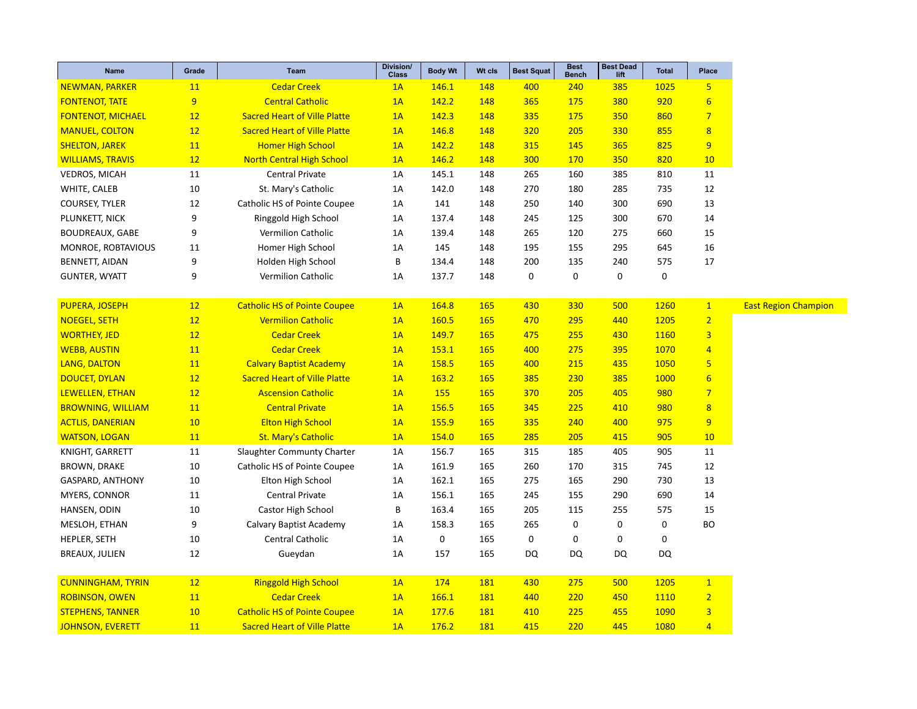| Name                     | Grade | <b>Team</b>                         | Division/<br><b>Class</b> | <b>Body Wt</b> | Wt cls | <b>Best Squat</b> | <b>Best</b><br><b>Bench</b> | <b>Best Dead</b><br>lift | <b>Total</b> | Place                   |
|--------------------------|-------|-------------------------------------|---------------------------|----------------|--------|-------------------|-----------------------------|--------------------------|--------------|-------------------------|
| <b>NEWMAN, PARKER</b>    | 11    | <b>Cedar Creek</b>                  | 1A                        | 146.1          | 148    | 400               | 240                         | 385                      | 1025         | 5 <sub>5</sub>          |
| <b>FONTENOT, TATE</b>    | 9     | <b>Central Catholic</b>             | 1A                        | 142.2          | 148    | 365               | 175                         | 380                      | 920          | $6\overline{6}$         |
| <b>FONTENOT, MICHAEL</b> | 12    | <b>Sacred Heart of Ville Platte</b> | 1A                        | 142.3          | 148    | 335               | 175                         | 350                      | 860          | $7\overline{ }$         |
| <b>MANUEL, COLTON</b>    | 12    | <b>Sacred Heart of Ville Platte</b> | 1A                        | 146.8          | 148    | 320               | 205                         | 330                      | 855          | $\overline{8}$          |
| <b>SHELTON, JAREK</b>    | 11    | <b>Homer High School</b>            | 1A                        | 142.2          | 148    | 315               | 145                         | 365                      | 825          | 9                       |
| <b>WILLIAMS, TRAVIS</b>  | 12    | <b>North Central High School</b>    | 1A                        | 146.2          | 148    | 300               | 170                         | 350                      | 820          | 10                      |
| <b>VEDROS, MICAH</b>     | 11    | Central Private                     | 1A                        | 145.1          | 148    | 265               | 160                         | 385                      | 810          | 11                      |
| WHITE, CALEB             | 10    | St. Mary's Catholic                 | 1A                        | 142.0          | 148    | 270               | 180                         | 285                      | 735          | 12                      |
| <b>COURSEY, TYLER</b>    | 12    | Catholic HS of Pointe Coupee        | 1A                        | 141            | 148    | 250               | 140                         | 300                      | 690          | 13                      |
| PLUNKETT, NICK           | 9     | Ringgold High School                | 1A                        | 137.4          | 148    | 245               | 125                         | 300                      | 670          | 14                      |
| <b>BOUDREAUX, GABE</b>   | 9     | Vermilion Catholic                  | 1A                        | 139.4          | 148    | 265               | 120                         | 275                      | 660          | 15                      |
| MONROE, ROBTAVIOUS       | 11    | Homer High School                   | 1A                        | 145            | 148    | 195               | 155                         | 295                      | 645          | 16                      |
| BENNETT, AIDAN           | 9     | Holden High School                  | B                         | 134.4          | 148    | 200               | 135                         | 240                      | 575          | 17                      |
| <b>GUNTER, WYATT</b>     | 9     | Vermilion Catholic                  | 1A                        | 137.7          | 148    | $\mathbf 0$       | $\mathbf 0$                 | 0                        | $\pmb{0}$    |                         |
|                          |       |                                     |                           |                |        |                   |                             |                          |              |                         |
| PUPERA, JOSEPH           | 12    | <b>Catholic HS of Pointe Coupee</b> | 1A                        | 164.8          | 165    | 430               | 330                         | 500                      | 1260         | $\mathbf{1}$            |
| <b>NOEGEL, SETH</b>      | 12    | <b>Vermilion Catholic</b>           | 1A                        | 160.5          | 165    | 470               | 295                         | 440                      | 1205         | $\overline{2}$          |
| <b>WORTHEY, JED</b>      | 12    | <b>Cedar Creek</b>                  | 1A                        | 149.7          | 165    | 475               | 255                         | 430                      | 1160         | $\overline{3}$          |
| <b>WEBB, AUSTIN</b>      | 11    | <b>Cedar Creek</b>                  | 1A                        | 153.1          | 165    | 400               | 275                         | 395                      | 1070         | $\overline{4}$          |
| <b>LANG, DALTON</b>      | 11    | <b>Calvary Baptist Academy</b>      | 1A                        | 158.5          | 165    | 400               | 215                         | 435                      | 1050         | 5                       |
| <b>DOUCET, DYLAN</b>     | 12    | <b>Sacred Heart of Ville Platte</b> | 1A                        | 163.2          | 165    | 385               | 230                         | 385                      | 1000         | $6\overline{6}$         |
| LEWELLEN, ETHAN          | 12    | <b>Ascension Catholic</b>           | 1A                        | <b>155</b>     | 165    | 370               | 205                         | 405                      | 980          | $\overline{7}$          |
| <b>BROWNING, WILLIAM</b> | 11    | <b>Central Private</b>              | 1A                        | 156.5          | 165    | 345               | 225                         | 410                      | 980          | $\overline{8}$          |
| <b>ACTLIS, DANERIAN</b>  | 10    | <b>Elton High School</b>            | 1A                        | 155.9          | 165    | 335               | 240                         | 400                      | 975          | 9                       |
| <b>WATSON, LOGAN</b>     | 11    | <b>St. Mary's Catholic</b>          | 1A                        | 154.0          | 165    | 285               | 205                         | 415                      | 905          | 10                      |
| KNIGHT, GARRETT          | 11    | Slaughter Communty Charter          | 1A                        | 156.7          | 165    | 315               | 185                         | 405                      | 905          | 11                      |
| <b>BROWN, DRAKE</b>      | 10    | Catholic HS of Pointe Coupee        | 1A                        | 161.9          | 165    | 260               | 170                         | 315                      | 745          | 12                      |
| GASPARD, ANTHONY         | 10    | Elton High School                   | 1A                        | 162.1          | 165    | 275               | 165                         | 290                      | 730          | 13                      |
| MYERS, CONNOR            | 11    | Central Private                     | 1A                        | 156.1          | 165    | 245               | 155                         | 290                      | 690          | 14                      |
| HANSEN, ODIN             | 10    | Castor High School                  | B                         | 163.4          | 165    | 205               | 115                         | 255                      | 575          | 15                      |
| MESLOH, ETHAN            | 9     | Calvary Baptist Academy             | 1A                        | 158.3          | 165    | 265               | $\mathbf 0$                 | 0                        | $\pmb{0}$    | <b>BO</b>               |
| HEPLER, SETH             | 10    | Central Catholic                    | 1A                        | 0              | 165    | 0                 | $\mathbf 0$                 | 0                        | $\pmb{0}$    |                         |
| BREAUX, JULIEN           | 12    | Gueydan                             | 1A                        | 157            | 165    | <b>DQ</b>         | <b>DQ</b>                   | <b>DQ</b>                | <b>DQ</b>    |                         |
|                          |       |                                     |                           |                |        |                   |                             |                          |              |                         |
| <b>CUNNINGHAM, TYRIN</b> | 12    | <b>Ringgold High School</b>         | 1A                        | 174            | 181    | 430               | 275                         | 500                      | 1205         | $\overline{1}$          |
| <b>ROBINSON, OWEN</b>    | 11    | <b>Cedar Creek</b>                  | 1A                        | 166.1          | 181    | 440               | 220                         | 450                      | 1110         | $\overline{2}$          |
| <b>STEPHENS, TANNER</b>  | 10    | <b>Catholic HS of Pointe Coupee</b> | 1A                        | 177.6          | 181    | 410               | 225                         | 455                      | <b>1090</b>  | $\overline{\mathbf{3}}$ |
| <b>JOHNSON, EVERETT</b>  | 11    | <b>Sacred Heart of Ville Platte</b> | 1A                        | 176.2          | 181    | 415               | 220                         | 445                      | 1080         | $\overline{4}$          |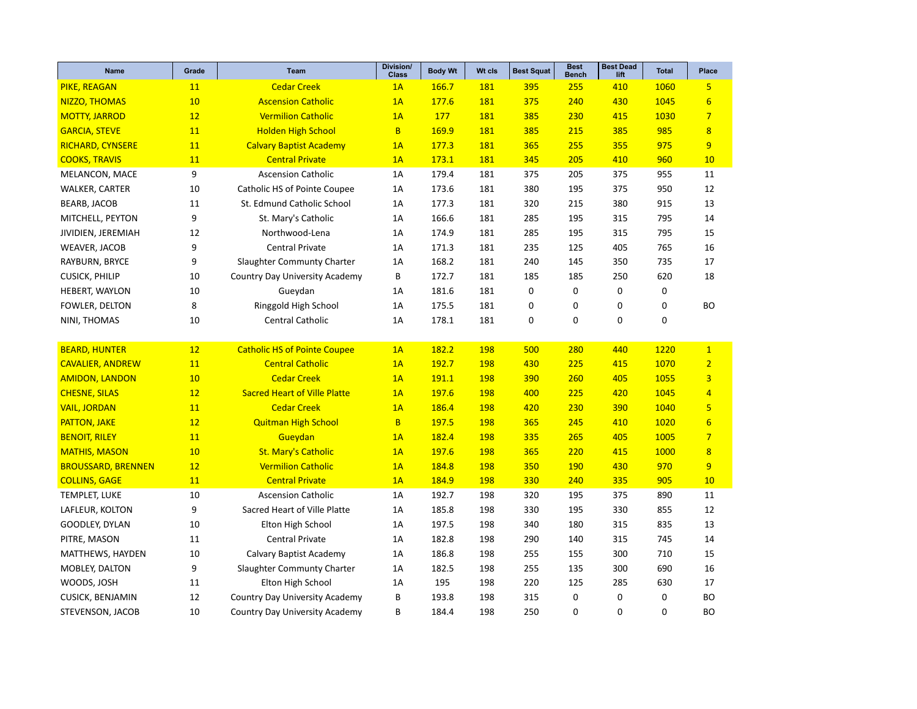| <b>Name</b>               | Grade | <b>Team</b>                           | <b>Division/</b><br><b>Class</b> | <b>Body Wt</b> | Wt cls     | <b>Best Squat</b> | <b>Best</b><br><b>Bench</b> | <b>Best Dead</b><br>lift | <b>Total</b> | Place           |
|---------------------------|-------|---------------------------------------|----------------------------------|----------------|------------|-------------------|-----------------------------|--------------------------|--------------|-----------------|
| PIKE, REAGAN              | 11    | <b>Cedar Creek</b>                    | 1A                               | 166.7          | 181        | 395               | 255                         | 410                      | 1060         | 5 <sub>5</sub>  |
| NIZZO, THOMAS             | 10    | <b>Ascension Catholic</b>             | 1A                               | 177.6          | <b>181</b> | 375               | 240                         | 430                      | 1045         | $\overline{6}$  |
| <b>MOTTY, JARROD</b>      | 12    | <b>Vermilion Catholic</b>             | 1A                               | 177            | 181        | 385               | 230                         | 415                      | 1030         | $\overline{7}$  |
| <b>GARCIA, STEVE</b>      | 11    | <b>Holden High School</b>             | <sub>B</sub>                     | 169.9          | 181        | 385               | 215                         | 385                      | 985          | 8               |
| <b>RICHARD, CYNSERE</b>   | 11    | <b>Calvary Baptist Academy</b>        | 1A                               | 177.3          | 181        | 365               | 255                         | 355                      | 975          | $\overline{9}$  |
| <b>COOKS, TRAVIS</b>      | 11    | <b>Central Private</b>                | 1A                               | 173.1          | 181        | 345               | 205                         | 410                      | 960          | 10              |
| MELANCON, MACE            | 9     | <b>Ascension Catholic</b>             | 1A                               | 179.4          | 181        | 375               | 205                         | 375                      | 955          | 11              |
| WALKER, CARTER            | 10    | Catholic HS of Pointe Coupee          | 1A                               | 173.6          | 181        | 380               | 195                         | 375                      | 950          | 12              |
| <b>BEARB, JACOB</b>       | 11    | St. Edmund Catholic School            | 1A                               | 177.3          | 181        | 320               | 215                         | 380                      | 915          | 13              |
| MITCHELL, PEYTON          | 9     | St. Mary's Catholic                   | 1A                               | 166.6          | 181        | 285               | 195                         | 315                      | 795          | 14              |
| JIVIDIEN, JEREMIAH        | 12    | Northwood-Lena                        | 1A                               | 174.9          | 181        | 285               | 195                         | 315                      | 795          | 15              |
| WEAVER, JACOB             | 9     | Central Private                       | 1A                               | 171.3          | 181        | 235               | 125                         | 405                      | 765          | 16              |
| RAYBURN, BRYCE            | 9     | Slaughter Communty Charter            | 1A                               | 168.2          | 181        | 240               | 145                         | 350                      | 735          | 17              |
| <b>CUSICK, PHILIP</b>     | 10    | <b>Country Day University Academy</b> | В                                | 172.7          | 181        | 185               | 185                         | 250                      | 620          | 18              |
| HEBERT, WAYLON            | 10    | Gueydan                               | 1A                               | 181.6          | 181        | 0                 | $\pmb{0}$                   | 0                        | 0            |                 |
| FOWLER, DELTON            | 8     | Ringgold High School                  | 1A                               | 175.5          | 181        | 0                 | 0                           | 0                        | 0            | BO              |
| NINI, THOMAS              | 10    | Central Catholic                      | 1A                               | 178.1          | 181        | 0                 | $\mathbf 0$                 | $\mathbf 0$              | 0            |                 |
|                           |       |                                       |                                  |                |            |                   |                             |                          |              |                 |
| <b>BEARD, HUNTER</b>      | 12    | <b>Catholic HS of Pointe Coupee</b>   | 1A                               | 182.2          | 198        | 500               | 280                         | 440                      | 1220         | $\mathbf{1}$    |
| <b>CAVALIER, ANDREW</b>   | 11    | <b>Central Catholic</b>               | 1A                               | 192.7          | 198        | 430               | 225                         | 415                      | 1070         | $\overline{2}$  |
| <b>AMIDON, LANDON</b>     | 10    | <b>Cedar Creek</b>                    | 1A                               | 191.1          | 198        | 390               | 260                         | 405                      | 1055         | $\overline{3}$  |
| <b>CHESNE, SILAS</b>      | 12    | <b>Sacred Heart of Ville Platte</b>   | 1A                               | 197.6          | <b>198</b> | 400               | 225                         | 420                      | 1045         | $\overline{4}$  |
| <b>VAIL, JORDAN</b>       | 11    | <b>Cedar Creek</b>                    | 1A                               | 186.4          | <b>198</b> | 420               | 230                         | 390                      | 1040         | 5               |
| <b>PATTON, JAKE</b>       | 12    | <b>Quitman High School</b>            | B                                | 197.5          | 198        | 365               | 245                         | 410                      | 1020         | $6\overline{6}$ |
| <b>BENOIT, RILEY</b>      | 11    | Gueydan                               | 1A                               | 182.4          | <b>198</b> | 335               | 265                         | 405                      | 1005         | $\overline{7}$  |
| <b>MATHIS, MASON</b>      | 10    | <b>St. Mary's Catholic</b>            | 1A                               | 197.6          | <b>198</b> | 365               | 220                         | 415                      | 1000         | 8               |
| <b>BROUSSARD, BRENNEN</b> | 12    | <b>Vermilion Catholic</b>             | 1A                               | 184.8          | <b>198</b> | 350               | <b>190</b>                  | 430                      | 970          | 9               |
| <b>COLLINS, GAGE</b>      | 11    | <b>Central Private</b>                | 1A                               | 184.9          | 198        | 330               | 240                         | 335                      | 905          | 10              |
| TEMPLET, LUKE             | 10    | <b>Ascension Catholic</b>             | 1A                               | 192.7          | 198        | 320               | 195                         | 375                      | 890          | 11              |
| LAFLEUR, KOLTON           | 9     | Sacred Heart of Ville Platte          | 1A                               | 185.8          | 198        | 330               | 195                         | 330                      | 855          | 12              |
| GOODLEY, DYLAN            | 10    | Elton High School                     | 1A                               | 197.5          | 198        | 340               | 180                         | 315                      | 835          | 13              |
| PITRE, MASON              | 11    | Central Private                       | 1A                               | 182.8          | 198        | 290               | 140                         | 315                      | 745          | 14              |
| MATTHEWS, HAYDEN          | 10    | Calvary Baptist Academy               | 1A                               | 186.8          | 198        | 255               | 155                         | 300                      | 710          | 15              |
| MOBLEY, DALTON            | 9     | Slaughter Communty Charter            | 1A                               | 182.5          | 198        | 255               | 135                         | 300                      | 690          | 16              |
| WOODS, JOSH               | 11    | Elton High School                     | 1A                               | 195            | 198        | 220               | 125                         | 285                      | 630          | 17              |
| CUSICK, BENJAMIN          | 12    | Country Day University Academy        | B                                | 193.8          | 198        | 315               | $\mathbf 0$                 | 0                        | 0            | BO              |
| STEVENSON, JACOB          | 10    | Country Day University Academy        | B                                | 184.4          | 198        | 250               | $\mathbf 0$                 | $\mathbf 0$              | 0            | BO              |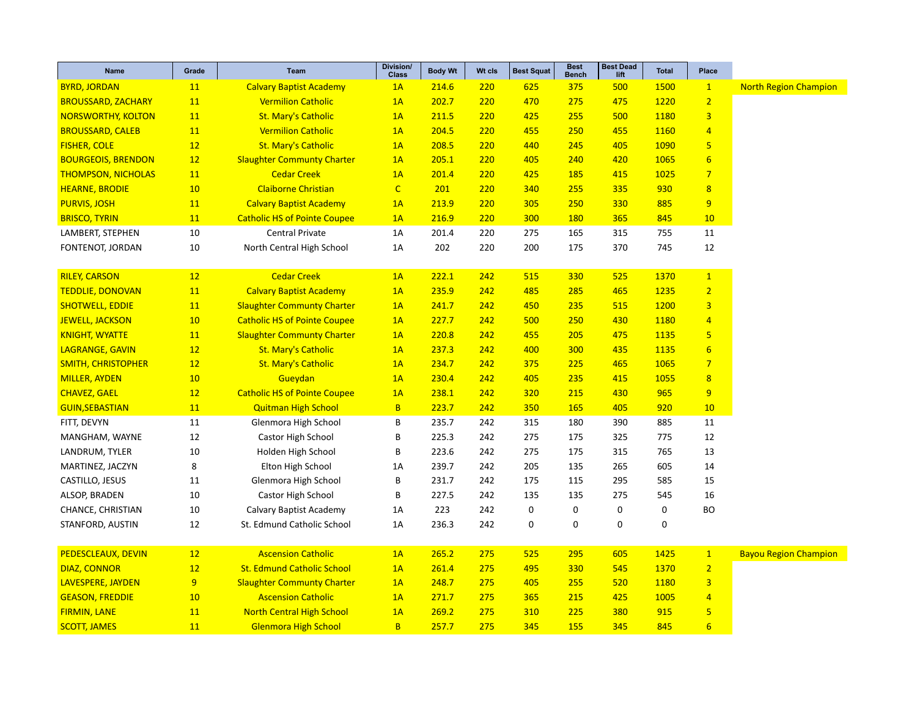| <b>Name</b>               | Grade | <b>Team</b>                         | Division/<br><b>Class</b> | <b>Body Wt</b> | Wt cls | <b>Best Squat</b> | <b>Best</b><br><b>Bench</b> | <b>Best Dead</b><br>lift | <b>Total</b> | Place                   |                              |
|---------------------------|-------|-------------------------------------|---------------------------|----------------|--------|-------------------|-----------------------------|--------------------------|--------------|-------------------------|------------------------------|
| <b>BYRD, JORDAN</b>       | 11    | <b>Calvary Baptist Academy</b>      | 1A                        | 214.6          | 220    | 625               | 375                         | 500                      | 1500         | $\mathbf{1}$            | <b>North Region Champion</b> |
| <b>BROUSSARD, ZACHARY</b> | 11    | <b>Vermilion Catholic</b>           | 1A                        | 202.7          | 220    | 470               | 275                         | 475                      | 1220         | $\overline{2}$          |                              |
| <b>NORSWORTHY, KOLTON</b> | 11    | <b>St. Mary's Catholic</b>          | 1A                        | 211.5          | 220    | 425               | 255                         | 500                      | 1180         | $\overline{3}$          |                              |
| <b>BROUSSARD, CALEB</b>   | 11    | <b>Vermilion Catholic</b>           | 1A                        | 204.5          | 220    | 455               | 250                         | 455                      | 1160         | $\overline{4}$          |                              |
| <b>FISHER, COLE</b>       | 12    | <b>St. Mary's Catholic</b>          | 1A                        | 208.5          | 220    | 440               | 245                         | 405                      | 1090         | $\overline{\mathbf{5}}$ |                              |
| <b>BOURGEOIS, BRENDON</b> | 12    | <b>Slaughter Communty Charter</b>   | 1A                        | 205.1          | 220    | 405               | 240                         | 420                      | 1065         | $6\overline{6}$         |                              |
| <b>THOMPSON, NICHOLAS</b> | 11    | <b>Cedar Creek</b>                  | 1A                        | 201.4          | 220    | 425               | 185                         | 415                      | 1025         | $\overline{7}$          |                              |
| <b>HEARNE, BRODIE</b>     | 10    | <b>Claiborne Christian</b>          | $\mathsf{C}$              | 201            | 220    | 340               | 255                         | 335                      | 930          | $\overline{8}$          |                              |
| <b>PURVIS, JOSH</b>       | 11    | <b>Calvary Baptist Academy</b>      | 1A                        | 213.9          | 220    | 305               | 250                         | 330                      | 885          | 9                       |                              |
| <b>BRISCO, TYRIN</b>      | 11    | <b>Catholic HS of Pointe Coupee</b> | 1A                        | 216.9          | 220    | 300               | <b>180</b>                  | 365                      | 845          | 10                      |                              |
| LAMBERT, STEPHEN          | 10    | Central Private                     | 1A                        | 201.4          | 220    | 275               | 165                         | 315                      | 755          | 11                      |                              |
| FONTENOT, JORDAN          | 10    | North Central High School           | 1A                        | 202            | 220    | 200               | 175                         | 370                      | 745          | 12                      |                              |
|                           |       |                                     |                           |                |        |                   |                             |                          |              |                         |                              |
| <b>RILEY, CARSON</b>      | 12    | <b>Cedar Creek</b>                  | 1A                        | 222.1          | 242    | 515               | 330                         | 525                      | 1370         | $\mathbf{1}$            |                              |
| <b>TEDDLIE, DONOVAN</b>   | 11    | <b>Calvary Baptist Academy</b>      | 1A                        | 235.9          | 242    | 485               | 285                         | 465                      | 1235         | $\overline{2}$          |                              |
| <b>SHOTWELL, EDDIE</b>    | 11    | <b>Slaughter Communty Charter</b>   | 1A                        | 241.7          | 242    | 450               | 235                         | 515                      | 1200         | $\overline{3}$          |                              |
| <b>JEWELL, JACKSON</b>    | 10    | <b>Catholic HS of Pointe Coupee</b> | 1A                        | 227.7          | 242    | 500               | 250                         | 430                      | 1180         | $\overline{4}$          |                              |
| <b>KNIGHT, WYATTE</b>     | 11    | <b>Slaughter Communty Charter</b>   | 1A                        | 220.8          | 242    | 455               | 205                         | 475                      | 1135         | 5                       |                              |
| <b>LAGRANGE, GAVIN</b>    | 12    | <b>St. Mary's Catholic</b>          | 1A                        | 237.3          | 242    | 400               | 300                         | 435                      | 1135         | $6\phantom{1}6$         |                              |
| <b>SMITH, CHRISTOPHER</b> | 12    | <b>St. Mary's Catholic</b>          | 1A                        | 234.7          | 242    | 375               | 225                         | 465                      | 1065         | $\overline{7}$          |                              |
| <b>MILLER, AYDEN</b>      | 10    | Gueydan                             | 1A                        | 230.4          | 242    | 405               | 235                         | 415                      | 1055         | 8                       |                              |
| <b>CHAVEZ, GAEL</b>       | 12    | <b>Catholic HS of Pointe Coupee</b> | 1A                        | 238.1          | 242    | 320               | 215                         | 430                      | 965          | 9                       |                              |
| <b>GUIN, SEBASTIAN</b>    | 11    | <b>Quitman High School</b>          | B                         | 223.7          | 242    | 350               | 165                         | 405                      | 920          | 10                      |                              |
| FITT, DEVYN               | 11    | Glenmora High School                | В                         | 235.7          | 242    | 315               | 180                         | 390                      | 885          | 11                      |                              |
| MANGHAM, WAYNE            | 12    | Castor High School                  | В                         | 225.3          | 242    | 275               | 175                         | 325                      | 775          | 12                      |                              |
| LANDRUM, TYLER            | 10    | Holden High School                  | В                         | 223.6          | 242    | 275               | 175                         | 315                      | 765          | 13                      |                              |
| MARTINEZ, JACZYN          | 8     | Elton High School                   | 1A                        | 239.7          | 242    | 205               | 135                         | 265                      | 605          | 14                      |                              |
| CASTILLO, JESUS           | 11    | Glenmora High School                | B                         | 231.7          | 242    | 175               | 115                         | 295                      | 585          | 15                      |                              |
| ALSOP, BRADEN             | 10    | Castor High School                  | B                         | 227.5          | 242    | 135               | 135                         | 275                      | 545          | 16                      |                              |
| CHANCE, CHRISTIAN         | 10    | Calvary Baptist Academy             | 1A                        | 223            | 242    | $\mathbf 0$       | 0                           | $\mathbf 0$              | 0            | <b>BO</b>               |                              |
| STANFORD, AUSTIN          | 12    | St. Edmund Catholic School          | 1A                        | 236.3          | 242    | 0                 | 0                           | $\mathbf 0$              | 0            |                         |                              |
| PEDESCLEAUX, DEVIN        | 12    | <b>Ascension Catholic</b>           | 1A                        | 265.2          | 275    | 525               | 295                         | 605                      | 1425         | $\mathbf{1}$            | <b>Bayou Region Champion</b> |
| <b>DIAZ, CONNOR</b>       | 12    | <b>St. Edmund Catholic School</b>   | 1A                        | 261.4          | 275    | 495               | 330                         | 545                      | 1370         | $\overline{2}$          |                              |
| LAVESPERE, JAYDEN         | 9     | <b>Slaughter Communty Charter</b>   | 1A                        | 248.7          | 275    | 405               | 255                         | 520                      | 1180         | 3                       |                              |
| <b>GEASON, FREDDIE</b>    | 10    | <b>Ascension Catholic</b>           | 1A                        | 271.7          | 275    | 365               | 215                         | 425                      | 1005         | $\overline{4}$          |                              |
| <b>FIRMIN, LANE</b>       | 11    | <b>North Central High School</b>    | 1A                        | 269.2          | 275    | 310               | 225                         | 380                      | 915          | 5                       |                              |
|                           | 11    | <b>Glenmora High School</b>         | B <sup></sup>             | 257.7          | 275    | 345               | 155                         | 345                      | 845          | $6\overline{6}$         |                              |
| <b>SCOTT, JAMES</b>       |       |                                     |                           |                |        |                   |                             |                          |              |                         |                              |